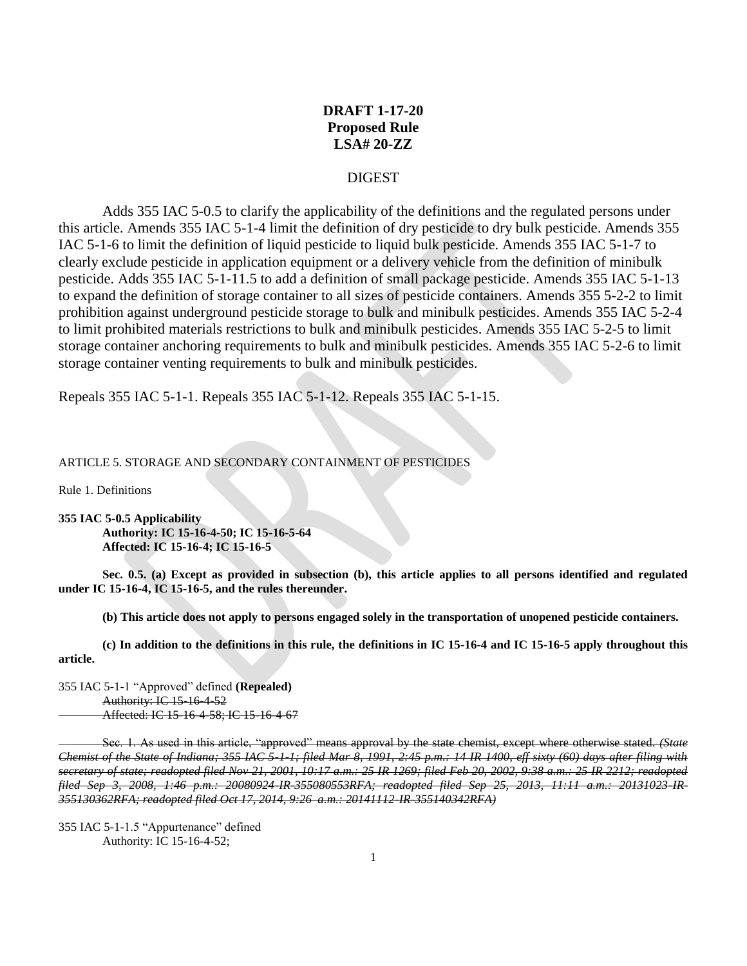# **DRAFT 1-17-20 Proposed Rule LSA# 20-ZZ**

## DIGEST

Adds 355 IAC 5-0.5 to clarify the applicability of the definitions and the regulated persons under this article. Amends 355 IAC 5-1-4 limit the definition of dry pesticide to dry bulk pesticide. Amends 355 IAC 5-1-6 to limit the definition of liquid pesticide to liquid bulk pesticide. Amends 355 IAC 5-1-7 to clearly exclude pesticide in application equipment or a delivery vehicle from the definition of minibulk pesticide. Adds 355 IAC 5-1-11.5 to add a definition of small package pesticide. Amends 355 IAC 5-1-13 to expand the definition of storage container to all sizes of pesticide containers. Amends 355 5-2-2 to limit prohibition against underground pesticide storage to bulk and minibulk pesticides. Amends 355 IAC 5-2-4 to limit prohibited materials restrictions to bulk and minibulk pesticides. Amends 355 IAC 5-2-5 to limit storage container anchoring requirements to bulk and minibulk pesticides. Amends 355 IAC 5-2-6 to limit storage container venting requirements to bulk and minibulk pesticides.

Repeals 355 IAC 5-1-1. Repeals 355 IAC 5-1-12. Repeals 355 IAC 5-1-15.

ARTICLE 5. STORAGE AND SECONDARY CONTAINMENT OF PESTICIDES

Rule 1. Definitions

**355 IAC 5-0.5 Applicability**

**Authority: IC 15-16-4-50; IC 15-16-5-64 Affected: IC 15-16-4; IC 15-16-5**

**Sec. 0.5. (a) Except as provided in subsection (b), this article applies to all persons identified and regulated under IC 15-16-4, IC 15-16-5, and the rules thereunder.**

**(b) This article does not apply to persons engaged solely in the transportation of unopened pesticide containers.**

**(c) In addition to the definitions in this rule, the definitions in IC 15-16-4 and IC 15-16-5 apply throughout this article.**

355 IAC 5-1-1 "Approved" defined **(Repealed)** Authority: IC 15-16-4-52 Affected: IC 15-16-4-58; IC 15-16-4-67

Sec. 1. As used in this article, "approved" means approval by the state chemist, except where otherwise stated. *(State Chemist of the State of Indiana; 355 IAC 5-1-1; filed Mar 8, 1991, 2:45 p.m.; 14 IR 1400, eff sixty (60) days after filing with secretary of state; readopted filed Nov 21, 2001, 10:17 a.m.: 25 IR 1269; filed Feb 20, 2002, 9:38 a.m.: 25 IR 2212; readopted filed Sep 3, 2008, 1:46 p.m.: 20080924-IR-355080553RFA; readopted filed Sep 25, 2013, 11:11 a.m.: 20131023-IR-355130362RFA; readopted filed Oct 17, 2014, 9:26 a.m.: 20141112-IR-355140342RFA)*

355 IAC 5-1-1.5 "Appurtenance" defined Authority: IC 15-16-4-52;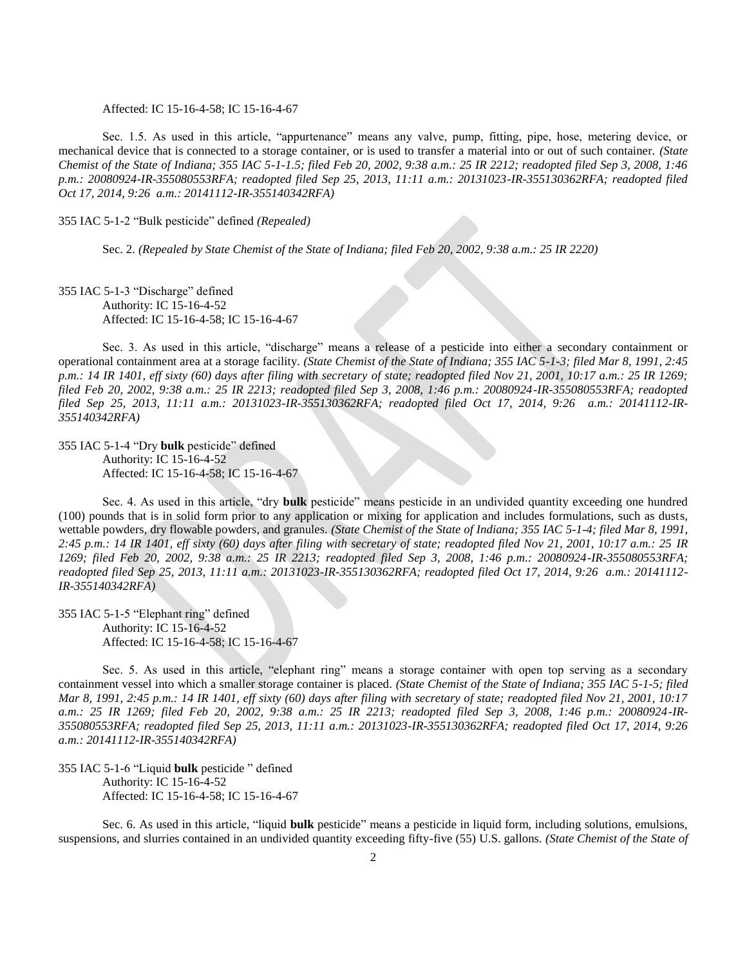#### Affected: IC 15-16-4-58; IC 15-16-4-67

Sec. 1.5. As used in this article, "appurtenance" means any valve, pump, fitting, pipe, hose, metering device, or mechanical device that is connected to a storage container, or is used to transfer a material into or out of such container. *(State Chemist of the State of Indiana; 355 IAC 5-1-1.5; filed Feb 20, 2002, 9:38 a.m.: 25 IR 2212; readopted filed Sep 3, 2008, 1:46 p.m.: 20080924-IR-355080553RFA; readopted filed Sep 25, 2013, 11:11 a.m.: 20131023-IR-355130362RFA; readopted filed Oct 17, 2014, 9:26 a.m.: 20141112-IR-355140342RFA)*

355 IAC 5-1-2 "Bulk pesticide" defined *(Repealed)*

Sec. 2. *(Repealed by State Chemist of the State of Indiana; filed Feb 20, 2002, 9:38 a.m.: 25 IR 2220)*

355 IAC 5-1-3 "Discharge" defined Authority: IC 15-16-4-52 Affected: IC 15-16-4-58; IC 15-16-4-67

Sec. 3. As used in this article, "discharge" means a release of a pesticide into either a secondary containment or operational containment area at a storage facility. *(State Chemist of the State of Indiana; 355 IAC 5-1-3; filed Mar 8, 1991, 2:45 p.m.: 14 IR 1401, eff sixty (60) days after filing with secretary of state; readopted filed Nov 21, 2001, 10:17 a.m.: 25 IR 1269; filed Feb 20, 2002, 9:38 a.m.: 25 IR 2213; readopted filed Sep 3, 2008, 1:46 p.m.: 20080924-IR-355080553RFA; readopted filed Sep 25, 2013, 11:11 a.m.: 20131023-IR-355130362RFA; readopted filed Oct 17, 2014, 9:26 a.m.: 20141112-IR-355140342RFA)*

355 IAC 5-1-4 "Dry **bulk** pesticide" defined Authority: IC 15-16-4-52 Affected: IC 15-16-4-58; IC 15-16-4-67

Sec. 4. As used in this article, "dry **bulk** pesticide" means pesticide in an undivided quantity exceeding one hundred (100) pounds that is in solid form prior to any application or mixing for application and includes formulations, such as dusts, wettable powders, dry flowable powders, and granules. *(State Chemist of the State of Indiana; 355 IAC 5-1-4; filed Mar 8, 1991, 2:45 p.m.: 14 IR 1401, eff sixty (60) days after filing with secretary of state; readopted filed Nov 21, 2001, 10:17 a.m.: 25 IR 1269; filed Feb 20, 2002, 9:38 a.m.: 25 IR 2213; readopted filed Sep 3, 2008, 1:46 p.m.: 20080924-IR-355080553RFA; readopted filed Sep 25, 2013, 11:11 a.m.: 20131023-IR-355130362RFA; readopted filed Oct 17, 2014, 9:26 a.m.: 20141112- IR-355140342RFA)*

355 IAC 5-1-5 "Elephant ring" defined Authority: IC 15-16-4-52 Affected: IC 15-16-4-58; IC 15-16-4-67

Sec. 5. As used in this article, "elephant ring" means a storage container with open top serving as a secondary containment vessel into which a smaller storage container is placed. *(State Chemist of the State of Indiana; 355 IAC 5-1-5; filed Mar 8, 1991, 2:45 p.m.: 14 IR 1401, eff sixty (60) days after filing with secretary of state; readopted filed Nov 21, 2001, 10:17 a.m.: 25 IR 1269; filed Feb 20, 2002, 9:38 a.m.: 25 IR 2213; readopted filed Sep 3, 2008, 1:46 p.m.: 20080924-IR-355080553RFA; readopted filed Sep 25, 2013, 11:11 a.m.: 20131023-IR-355130362RFA; readopted filed Oct 17, 2014, 9:26 a.m.: 20141112-IR-355140342RFA)*

355 IAC 5-1-6 "Liquid **bulk** pesticide " defined Authority: IC 15-16-4-52 Affected: IC 15-16-4-58; IC 15-16-4-67

Sec. 6. As used in this article, "liquid **bulk** pesticide" means a pesticide in liquid form, including solutions, emulsions, suspensions, and slurries contained in an undivided quantity exceeding fifty-five (55) U.S. gallons. *(State Chemist of the State of*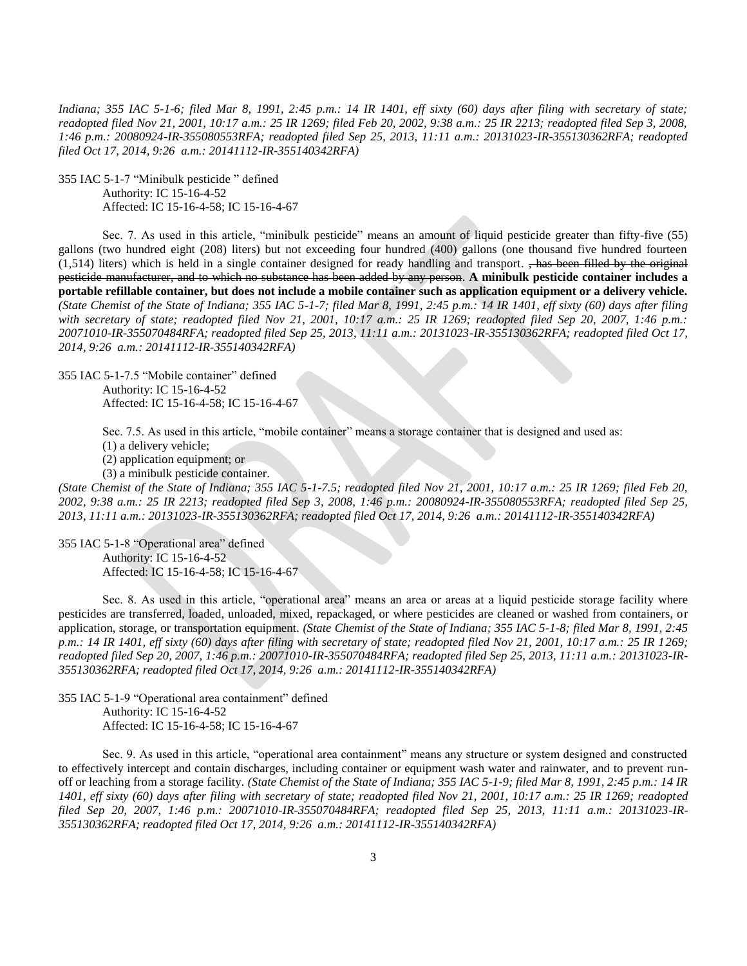*Indiana; 355 IAC 5-1-6; filed Mar 8, 1991, 2:45 p.m.: 14 IR 1401, eff sixty (60) days after filing with secretary of state; readopted filed Nov 21, 2001, 10:17 a.m.: 25 IR 1269; filed Feb 20, 2002, 9:38 a.m.: 25 IR 2213; readopted filed Sep 3, 2008, 1:46 p.m.: 20080924-IR-355080553RFA; readopted filed Sep 25, 2013, 11:11 a.m.: 20131023-IR-355130362RFA; readopted filed Oct 17, 2014, 9:26 a.m.: 20141112-IR-355140342RFA)*

355 IAC 5-1-7 "Minibulk pesticide " defined Authority: IC 15-16-4-52 Affected: IC 15-16-4-58; IC 15-16-4-67

Sec. 7. As used in this article, "minibulk pesticide" means an amount of liquid pesticide greater than fifty-five (55) gallons (two hundred eight (208) liters) but not exceeding four hundred (400) gallons (one thousand five hundred fourteen  $(1,514)$  liters) which is held in a single container designed for ready handling and transport.  $\frac{1}{2}$  has been filled by the original pesticide manufacturer, and to which no substance has been added by any person. **A minibulk pesticide container includes a portable refillable container, but does not include a mobile container such as application equipment or a delivery vehicle.**  *(State Chemist of the State of Indiana; 355 IAC 5-1-7; filed Mar 8, 1991, 2:45 p.m.: 14 IR 1401, eff sixty (60) days after filing with secretary of state; readopted filed Nov 21, 2001, 10:17 a.m.: 25 IR 1269; readopted filed Sep 20, 2007, 1:46 p.m.: 20071010-IR-355070484RFA; readopted filed Sep 25, 2013, 11:11 a.m.: 20131023-IR-355130362RFA; readopted filed Oct 17, 2014, 9:26 a.m.: 20141112-IR-355140342RFA)*

355 IAC 5-1-7.5 "Mobile container" defined Authority: IC 15-16-4-52 Affected: IC 15-16-4-58; IC 15-16-4-67

Sec. 7.5. As used in this article, "mobile container" means a storage container that is designed and used as:

(1) a delivery vehicle;

(2) application equipment; or

(3) a minibulk pesticide container.

*(State Chemist of the State of Indiana; 355 IAC 5-1-7.5; readopted filed Nov 21, 2001, 10:17 a.m.: 25 IR 1269; filed Feb 20, 2002, 9:38 a.m.: 25 IR 2213; readopted filed Sep 3, 2008, 1:46 p.m.: 20080924-IR-355080553RFA; readopted filed Sep 25, 2013, 11:11 a.m.: 20131023-IR-355130362RFA; readopted filed Oct 17, 2014, 9:26 a.m.: 20141112-IR-355140342RFA)*

355 IAC 5-1-8 "Operational area" defined Authority: IC 15-16-4-52 Affected: IC 15-16-4-58; IC 15-16-4-67

Sec. 8. As used in this article, "operational area" means an area or areas at a liquid pesticide storage facility where pesticides are transferred, loaded, unloaded, mixed, repackaged, or where pesticides are cleaned or washed from containers, or application, storage, or transportation equipment. *(State Chemist of the State of Indiana; 355 IAC 5-1-8; filed Mar 8, 1991, 2:45 p.m.: 14 IR 1401, eff sixty (60) days after filing with secretary of state; readopted filed Nov 21, 2001, 10:17 a.m.: 25 IR 1269; readopted filed Sep 20, 2007, 1:46 p.m.: 20071010-IR-355070484RFA; readopted filed Sep 25, 2013, 11:11 a.m.: 20131023-IR-355130362RFA; readopted filed Oct 17, 2014, 9:26 a.m.: 20141112-IR-355140342RFA)*

355 IAC 5-1-9 "Operational area containment" defined Authority: IC 15-16-4-52 Affected: IC 15-16-4-58; IC 15-16-4-67

Sec. 9. As used in this article, "operational area containment" means any structure or system designed and constructed to effectively intercept and contain discharges, including container or equipment wash water and rainwater, and to prevent runoff or leaching from a storage facility. *(State Chemist of the State of Indiana; 355 IAC 5-1-9; filed Mar 8, 1991, 2:45 p.m.: 14 IR 1401, eff sixty (60) days after filing with secretary of state; readopted filed Nov 21, 2001, 10:17 a.m.: 25 IR 1269; readopted filed Sep 20, 2007, 1:46 p.m.: 20071010-IR-355070484RFA; readopted filed Sep 25, 2013, 11:11 a.m.: 20131023-IR-355130362RFA; readopted filed Oct 17, 2014, 9:26 a.m.: 20141112-IR-355140342RFA)*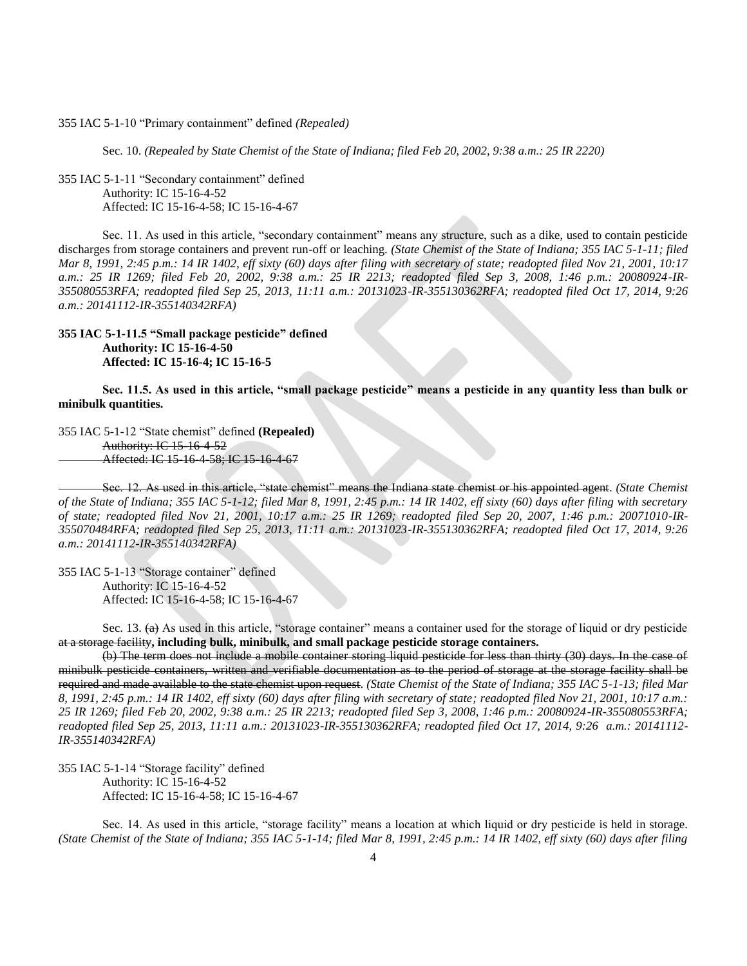355 IAC 5-1-10 "Primary containment" defined *(Repealed)*

Sec. 10. *(Repealed by State Chemist of the State of Indiana; filed Feb 20, 2002, 9:38 a.m.: 25 IR 2220)*

355 IAC 5-1-11 "Secondary containment" defined Authority: IC 15-16-4-52 Affected: IC 15-16-4-58; IC 15-16-4-67

Sec. 11. As used in this article, "secondary containment" means any structure, such as a dike, used to contain pesticide discharges from storage containers and prevent run-off or leaching. *(State Chemist of the State of Indiana; 355 IAC 5-1-11; filed Mar 8, 1991, 2:45 p.m.: 14 IR 1402, eff sixty (60) days after filing with secretary of state; readopted filed Nov 21, 2001, 10:17 a.m.: 25 IR 1269; filed Feb 20, 2002, 9:38 a.m.: 25 IR 2213; readopted filed Sep 3, 2008, 1:46 p.m.: 20080924-IR-355080553RFA; readopted filed Sep 25, 2013, 11:11 a.m.: 20131023-IR-355130362RFA; readopted filed Oct 17, 2014, 9:26 a.m.: 20141112-IR-355140342RFA)*

## **355 IAC 5-1-11.5 "Small package pesticide" defined Authority: IC 15-16-4-50 Affected: IC 15-16-4; IC 15-16-5**

**Sec. 11.5. As used in this article, "small package pesticide" means a pesticide in any quantity less than bulk or minibulk quantities.**

355 IAC 5-1-12 "State chemist" defined **(Repealed)** Authority: IC 15-16-4-52 Affected: IC 15-16-4-58; IC 15-16-4-67

Sec. 12. As used in this article, "state chemist" means the Indiana state chemist or his appointed agent. *(State Chemist of the State of Indiana; 355 IAC 5-1-12; filed Mar 8, 1991, 2:45 p.m.: 14 IR 1402, eff sixty (60) days after filing with secretary of state; readopted filed Nov 21, 2001, 10:17 a.m.: 25 IR 1269; readopted filed Sep 20, 2007, 1:46 p.m.: 20071010-IR-355070484RFA; readopted filed Sep 25, 2013, 11:11 a.m.: 20131023-IR-355130362RFA; readopted filed Oct 17, 2014, 9:26 a.m.: 20141112-IR-355140342RFA)*

355 IAC 5-1-13 "Storage container" defined Authority: IC 15-16-4-52 Affected: IC 15-16-4-58; IC 15-16-4-67

Sec. 13.  $\leftrightarrow$  As used in this article, "storage container" means a container used for the storage of liquid or dry pesticide at a storage facility**, including bulk, minibulk, and small package pesticide storage containers.**

(b) The term does not include a mobile container storing liquid pesticide for less than thirty (30) days. In the case of minibulk pesticide containers, written and verifiable documentation as to the period of storage at the storage facility shall be required and made available to the state chemist upon request. *(State Chemist of the State of Indiana; 355 IAC 5-1-13; filed Mar 8, 1991, 2:45 p.m.: 14 IR 1402, eff sixty (60) days after filing with secretary of state; readopted filed Nov 21, 2001, 10:17 a.m.: 25 IR 1269; filed Feb 20, 2002, 9:38 a.m.: 25 IR 2213; readopted filed Sep 3, 2008, 1:46 p.m.: 20080924-IR-355080553RFA; readopted filed Sep 25, 2013, 11:11 a.m.: 20131023-IR-355130362RFA; readopted filed Oct 17, 2014, 9:26 a.m.: 20141112- IR-355140342RFA)*

355 IAC 5-1-14 "Storage facility" defined Authority: IC 15-16-4-52 Affected: IC 15-16-4-58; IC 15-16-4-67

Sec. 14. As used in this article, "storage facility" means a location at which liquid or dry pesticide is held in storage. *(State Chemist of the State of Indiana; 355 IAC 5-1-14; filed Mar 8, 1991, 2:45 p.m.: 14 IR 1402, eff sixty (60) days after filing*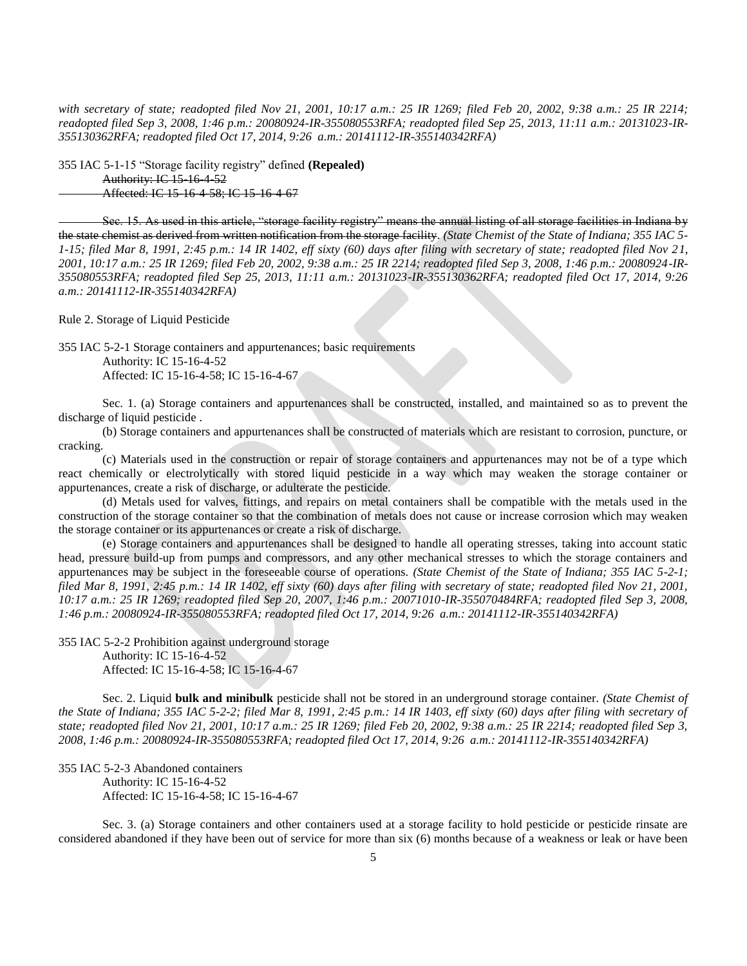*with secretary of state; readopted filed Nov 21, 2001, 10:17 a.m.: 25 IR 1269; filed Feb 20, 2002, 9:38 a.m.: 25 IR 2214; readopted filed Sep 3, 2008, 1:46 p.m.: 20080924-IR-355080553RFA; readopted filed Sep 25, 2013, 11:11 a.m.: 20131023-IR-355130362RFA; readopted filed Oct 17, 2014, 9:26 a.m.: 20141112-IR-355140342RFA)*

355 IAC 5-1-15 "Storage facility registry" defined **(Repealed)** Authority: IC 15-16-4-52 Affected: IC 15-16-4-58; IC 15-16-4-67

Sec. 15. As used in this article, "storage facility registry" means the annual listing of all storage facilities in Indiana by the state chemist as derived from written notification from the storage facility. *(State Chemist of the State of Indiana; 355 IAC 5- 1-15; filed Mar 8, 1991, 2:45 p.m.: 14 IR 1402, eff sixty (60) days after filing with secretary of state; readopted filed Nov 21, 2001, 10:17 a.m.: 25 IR 1269; filed Feb 20, 2002, 9:38 a.m.: 25 IR 2214; readopted filed Sep 3, 2008, 1:46 p.m.: 20080924-IR-355080553RFA; readopted filed Sep 25, 2013, 11:11 a.m.: 20131023-IR-355130362RFA; readopted filed Oct 17, 2014, 9:26 a.m.: 20141112-IR-355140342RFA)*

Rule 2. Storage of Liquid Pesticide

355 IAC 5-2-1 Storage containers and appurtenances; basic requirements

Authority: IC 15-16-4-52 Affected: IC 15-16-4-58; IC 15-16-4-67

Sec. 1. (a) Storage containers and appurtenances shall be constructed, installed, and maintained so as to prevent the discharge of liquid pesticide .

(b) Storage containers and appurtenances shall be constructed of materials which are resistant to corrosion, puncture, or cracking.

(c) Materials used in the construction or repair of storage containers and appurtenances may not be of a type which react chemically or electrolytically with stored liquid pesticide in a way which may weaken the storage container or appurtenances, create a risk of discharge, or adulterate the pesticide.

(d) Metals used for valves, fittings, and repairs on metal containers shall be compatible with the metals used in the construction of the storage container so that the combination of metals does not cause or increase corrosion which may weaken the storage container or its appurtenances or create a risk of discharge.

(e) Storage containers and appurtenances shall be designed to handle all operating stresses, taking into account static head, pressure build-up from pumps and compressors, and any other mechanical stresses to which the storage containers and appurtenances may be subject in the foreseeable course of operations. *(State Chemist of the State of Indiana; 355 IAC 5-2-1; filed Mar 8, 1991, 2:45 p.m.: 14 IR 1402, eff sixty (60) days after filing with secretary of state; readopted filed Nov 21, 2001, 10:17 a.m.: 25 IR 1269; readopted filed Sep 20, 2007, 1:46 p.m.: 20071010-IR-355070484RFA; readopted filed Sep 3, 2008, 1:46 p.m.: 20080924-IR-355080553RFA; readopted filed Oct 17, 2014, 9:26 a.m.: 20141112-IR-355140342RFA)*

355 IAC 5-2-2 Prohibition against underground storage Authority: IC 15-16-4-52 Affected: IC 15-16-4-58; IC 15-16-4-67

Sec. 2. Liquid **bulk and minibulk** pesticide shall not be stored in an underground storage container. *(State Chemist of the State of Indiana; 355 IAC 5-2-2; filed Mar 8, 1991, 2:45 p.m.: 14 IR 1403, eff sixty (60) days after filing with secretary of state; readopted filed Nov 21, 2001, 10:17 a.m.: 25 IR 1269; filed Feb 20, 2002, 9:38 a.m.: 25 IR 2214; readopted filed Sep 3, 2008, 1:46 p.m.: 20080924-IR-355080553RFA; readopted filed Oct 17, 2014, 9:26 a.m.: 20141112-IR-355140342RFA)*

355 IAC 5-2-3 Abandoned containers Authority: IC 15-16-4-52 Affected: IC 15-16-4-58; IC 15-16-4-67

Sec. 3. (a) Storage containers and other containers used at a storage facility to hold pesticide or pesticide rinsate are considered abandoned if they have been out of service for more than six (6) months because of a weakness or leak or have been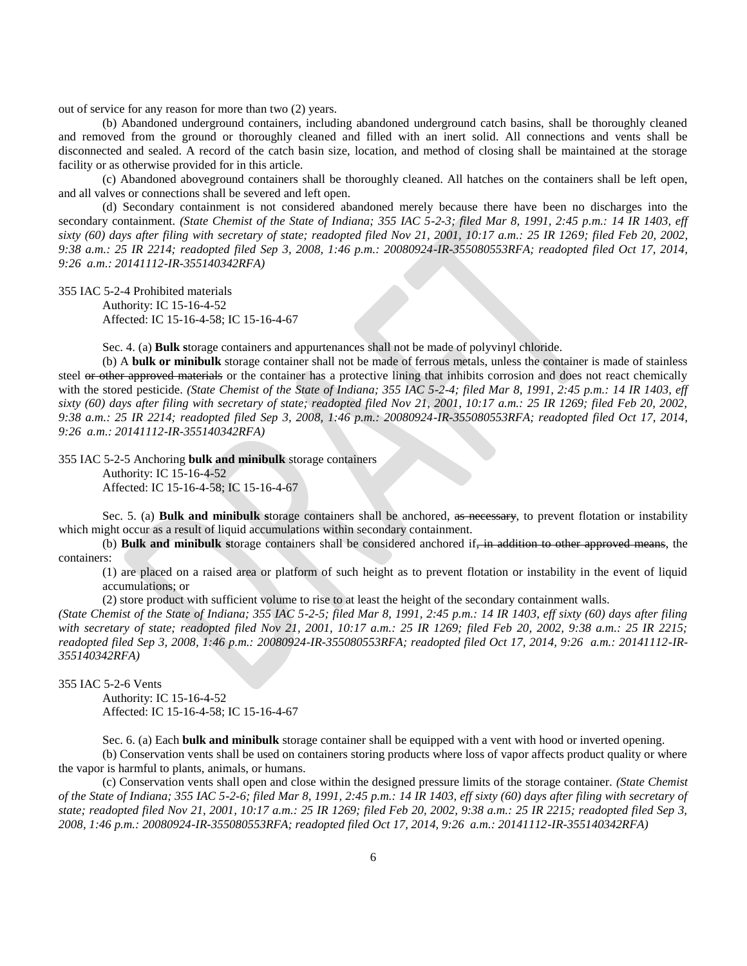out of service for any reason for more than two (2) years.

(b) Abandoned underground containers, including abandoned underground catch basins, shall be thoroughly cleaned and removed from the ground or thoroughly cleaned and filled with an inert solid. All connections and vents shall be disconnected and sealed. A record of the catch basin size, location, and method of closing shall be maintained at the storage facility or as otherwise provided for in this article.

(c) Abandoned aboveground containers shall be thoroughly cleaned. All hatches on the containers shall be left open, and all valves or connections shall be severed and left open.

(d) Secondary containment is not considered abandoned merely because there have been no discharges into the secondary containment. *(State Chemist of the State of Indiana; 355 IAC 5-2-3; filed Mar 8, 1991, 2:45 p.m.: 14 IR 1403, eff sixty (60) days after filing with secretary of state; readopted filed Nov 21, 2001, 10:17 a.m.: 25 IR 1269; filed Feb 20, 2002, 9:38 a.m.: 25 IR 2214; readopted filed Sep 3, 2008, 1:46 p.m.: 20080924-IR-355080553RFA; readopted filed Oct 17, 2014, 9:26 a.m.: 20141112-IR-355140342RFA)*

355 IAC 5-2-4 Prohibited materials Authority: IC 15-16-4-52 Affected: IC 15-16-4-58; IC 15-16-4-67

Sec. 4. (a) **Bulk s**torage containers and appurtenances shall not be made of polyvinyl chloride.

(b) A **bulk or minibulk** storage container shall not be made of ferrous metals, unless the container is made of stainless steel or other approved materials or the container has a protective lining that inhibits corrosion and does not react chemically with the stored pesticide. *(State Chemist of the State of Indiana; 355 IAC 5-2-4; filed Mar 8, 1991, 2:45 p.m.: 14 IR 1403, eff sixty (60) days after filing with secretary of state; readopted filed Nov 21, 2001, 10:17 a.m.: 25 IR 1269; filed Feb 20, 2002, 9:38 a.m.: 25 IR 2214; readopted filed Sep 3, 2008, 1:46 p.m.: 20080924-IR-355080553RFA; readopted filed Oct 17, 2014, 9:26 a.m.: 20141112-IR-355140342RFA)*

355 IAC 5-2-5 Anchoring **bulk and minibulk** storage containers Authority: IC 15-16-4-52 Affected: IC 15-16-4-58; IC 15-16-4-67

Sec. 5. (a) **Bulk and minibulk s**torage containers shall be anchored, as necessary, to prevent flotation or instability which might occur as a result of liquid accumulations within secondary containment.

(b) **Bulk and minibulk s**torage containers shall be considered anchored if, in addition to other approved means, the containers:

(1) are placed on a raised area or platform of such height as to prevent flotation or instability in the event of liquid accumulations; or

(2) store product with sufficient volume to rise to at least the height of the secondary containment walls.

*(State Chemist of the State of Indiana; 355 IAC 5-2-5; filed Mar 8, 1991, 2:45 p.m.: 14 IR 1403, eff sixty (60) days after filing with secretary of state; readopted filed Nov 21, 2001, 10:17 a.m.: 25 IR 1269; filed Feb 20, 2002, 9:38 a.m.: 25 IR 2215; readopted filed Sep 3, 2008, 1:46 p.m.: 20080924-IR-355080553RFA; readopted filed Oct 17, 2014, 9:26 a.m.: 20141112-IR-355140342RFA)*

355 IAC 5-2-6 Vents

Authority: IC 15-16-4-52 Affected: IC 15-16-4-58; IC 15-16-4-67

Sec. 6. (a) Each **bulk and minibulk** storage container shall be equipped with a vent with hood or inverted opening.

(b) Conservation vents shall be used on containers storing products where loss of vapor affects product quality or where the vapor is harmful to plants, animals, or humans.

(c) Conservation vents shall open and close within the designed pressure limits of the storage container. *(State Chemist of the State of Indiana; 355 IAC 5-2-6; filed Mar 8, 1991, 2:45 p.m.: 14 IR 1403, eff sixty (60) days after filing with secretary of state; readopted filed Nov 21, 2001, 10:17 a.m.: 25 IR 1269; filed Feb 20, 2002, 9:38 a.m.: 25 IR 2215; readopted filed Sep 3, 2008, 1:46 p.m.: 20080924-IR-355080553RFA; readopted filed Oct 17, 2014, 9:26 a.m.: 20141112-IR-355140342RFA)*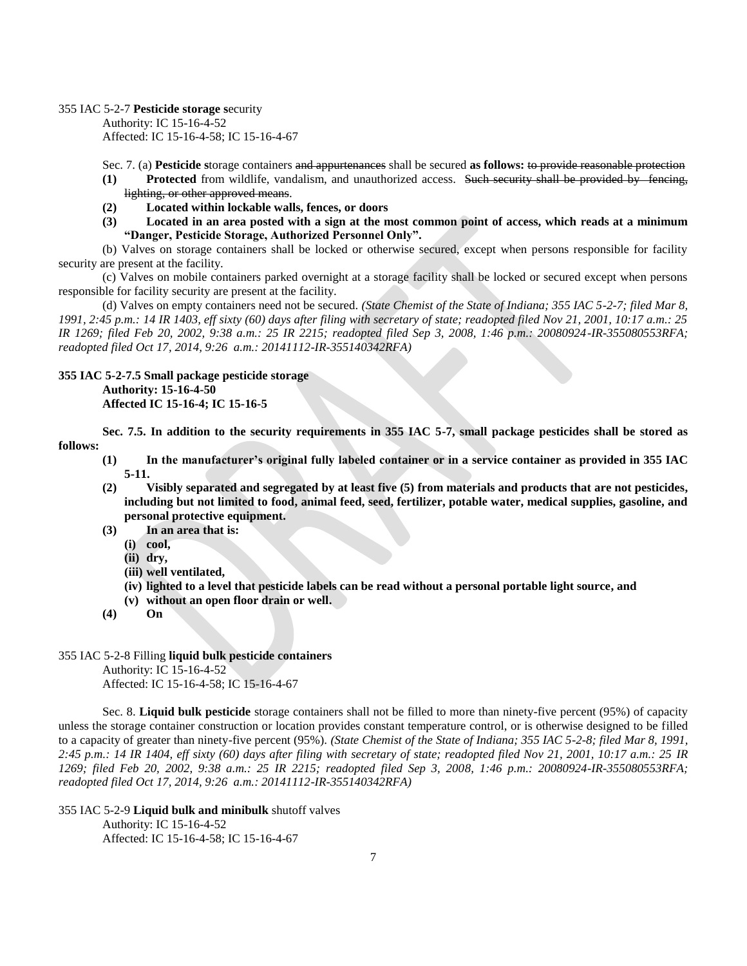#### 355 IAC 5-2-7 **Pesticide storage s**ecurity

Authority: IC 15-16-4-52 Affected: IC 15-16-4-58; IC 15-16-4-67

Sec. 7. (a) **Pesticide s**torage containers and appurtenances shall be secured **as follows:** to provide reasonable protection

- **(1) Protected** from wildlife, vandalism, and unauthorized access. Such security shall be provided by fencing, lighting, or other approved means.
- **(2) Located within lockable walls, fences, or doors**
- **(3) Located in an area posted with a sign at the most common point of access, which reads at a minimum "Danger, Pesticide Storage, Authorized Personnel Only".**

(b) Valves on storage containers shall be locked or otherwise secured, except when persons responsible for facility security are present at the facility.

(c) Valves on mobile containers parked overnight at a storage facility shall be locked or secured except when persons responsible for facility security are present at the facility.

(d) Valves on empty containers need not be secured. *(State Chemist of the State of Indiana; 355 IAC 5-2-7; filed Mar 8, 1991, 2:45 p.m.: 14 IR 1403, eff sixty (60) days after filing with secretary of state; readopted filed Nov 21, 2001, 10:17 a.m.: 25 IR 1269; filed Feb 20, 2002, 9:38 a.m.: 25 IR 2215; readopted filed Sep 3, 2008, 1:46 p.m.: 20080924-IR-355080553RFA; readopted filed Oct 17, 2014, 9:26 a.m.: 20141112-IR-355140342RFA)*

### **355 IAC 5-2-7.5 Small package pesticide storage Authority: 15-16-4-50 Affected IC 15-16-4; IC 15-16-5**

**Sec. 7.5. In addition to the security requirements in 355 IAC 5-7, small package pesticides shall be stored as follows:**

- **(1) In the manufacturer's original fully labeled container or in a service container as provided in 355 IAC 5-11.**
- **(2) Visibly separated and segregated by at least five (5) from materials and products that are not pesticides, including but not limited to food, animal feed, seed, fertilizer, potable water, medical supplies, gasoline, and personal protective equipment.**
- **(3) In an area that is:**
	- **(i) cool,**
	- **(ii) dry,**
	- **(iii) well ventilated,**
	- **(iv) lighted to a level that pesticide labels can be read without a personal portable light source, and**
	- **(v) without an open floor drain or well.**
- **(4) On**

## 355 IAC 5-2-8 Filling **liquid bulk pesticide containers**

Authority: IC 15-16-4-52 Affected: IC 15-16-4-58; IC 15-16-4-67

Sec. 8. **Liquid bulk pesticide** storage containers shall not be filled to more than ninety-five percent (95%) of capacity unless the storage container construction or location provides constant temperature control, or is otherwise designed to be filled to a capacity of greater than ninety-five percent (95%). *(State Chemist of the State of Indiana; 355 IAC 5-2-8; filed Mar 8, 1991, 2:45 p.m.: 14 IR 1404, eff sixty (60) days after filing with secretary of state; readopted filed Nov 21, 2001, 10:17 a.m.: 25 IR 1269; filed Feb 20, 2002, 9:38 a.m.: 25 IR 2215; readopted filed Sep 3, 2008, 1:46 p.m.: 20080924-IR-355080553RFA; readopted filed Oct 17, 2014, 9:26 a.m.: 20141112-IR-355140342RFA)*

### 355 IAC 5-2-9 **Liquid bulk and minibulk** shutoff valves

Authority: IC 15-16-4-52 Affected: IC 15-16-4-58; IC 15-16-4-67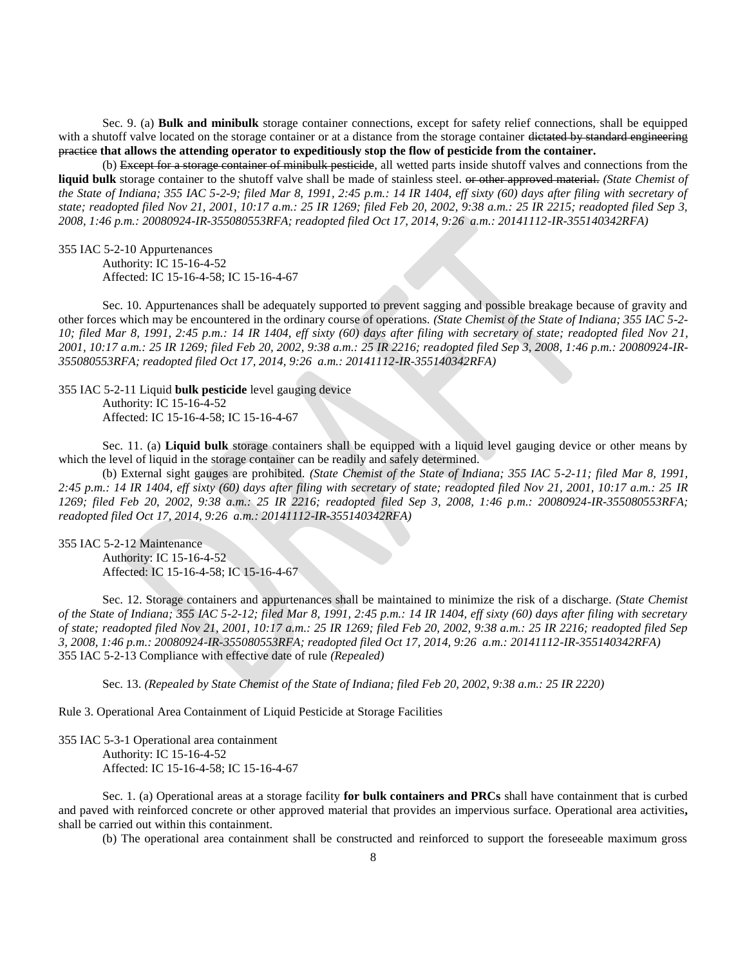Sec. 9. (a) **Bulk and minibulk** storage container connections, except for safety relief connections, shall be equipped with a shutoff valve located on the storage container or at a distance from the storage container dictated by standard engineering practice **that allows the attending operator to expeditiously stop the flow of pesticide from the container.**

(b) Except for a storage container of minibulk pesticide, all wetted parts inside shutoff valves and connections from the **liquid bulk** storage container to the shutoff valve shall be made of stainless steel. or other approved material. *(State Chemist of the State of Indiana; 355 IAC 5-2-9; filed Mar 8, 1991, 2:45 p.m.: 14 IR 1404, eff sixty (60) days after filing with secretary of state; readopted filed Nov 21, 2001, 10:17 a.m.: 25 IR 1269; filed Feb 20, 2002, 9:38 a.m.: 25 IR 2215; readopted filed Sep 3, 2008, 1:46 p.m.: 20080924-IR-355080553RFA; readopted filed Oct 17, 2014, 9:26 a.m.: 20141112-IR-355140342RFA)*

355 IAC 5-2-10 Appurtenances Authority: IC 15-16-4-52 Affected: IC 15-16-4-58; IC 15-16-4-67

Sec. 10. Appurtenances shall be adequately supported to prevent sagging and possible breakage because of gravity and other forces which may be encountered in the ordinary course of operations. *(State Chemist of the State of Indiana; 355 IAC 5-2- 10; filed Mar 8, 1991, 2:45 p.m.: 14 IR 1404, eff sixty (60) days after filing with secretary of state; readopted filed Nov 21, 2001, 10:17 a.m.: 25 IR 1269; filed Feb 20, 2002, 9:38 a.m.: 25 IR 2216; readopted filed Sep 3, 2008, 1:46 p.m.: 20080924-IR-355080553RFA; readopted filed Oct 17, 2014, 9:26 a.m.: 20141112-IR-355140342RFA)*

355 IAC 5-2-11 Liquid **bulk pesticide** level gauging device Authority: IC 15-16-4-52 Affected: IC 15-16-4-58; IC 15-16-4-67

Sec. 11. (a) **Liquid bulk** storage containers shall be equipped with a liquid level gauging device or other means by which the level of liquid in the storage container can be readily and safely determined.

(b) External sight gauges are prohibited. *(State Chemist of the State of Indiana; 355 IAC 5-2-11; filed Mar 8, 1991, 2:45 p.m.: 14 IR 1404, eff sixty (60) days after filing with secretary of state; readopted filed Nov 21, 2001, 10:17 a.m.: 25 IR 1269; filed Feb 20, 2002, 9:38 a.m.: 25 IR 2216; readopted filed Sep 3, 2008, 1:46 p.m.: 20080924-IR-355080553RFA; readopted filed Oct 17, 2014, 9:26 a.m.: 20141112-IR-355140342RFA)*

355 IAC 5-2-12 Maintenance Authority: IC 15-16-4-52 Affected: IC 15-16-4-58; IC 15-16-4-67

Sec. 12. Storage containers and appurtenances shall be maintained to minimize the risk of a discharge. *(State Chemist of the State of Indiana; 355 IAC 5-2-12; filed Mar 8, 1991, 2:45 p.m.: 14 IR 1404, eff sixty (60) days after filing with secretary of state; readopted filed Nov 21, 2001, 10:17 a.m.: 25 IR 1269; filed Feb 20, 2002, 9:38 a.m.: 25 IR 2216; readopted filed Sep 3, 2008, 1:46 p.m.: 20080924-IR-355080553RFA; readopted filed Oct 17, 2014, 9:26 a.m.: 20141112-IR-355140342RFA)* 355 IAC 5-2-13 Compliance with effective date of rule *(Repealed)*

Sec. 13. *(Repealed by State Chemist of the State of Indiana; filed Feb 20, 2002, 9:38 a.m.: 25 IR 2220)*

Rule 3. Operational Area Containment of Liquid Pesticide at Storage Facilities

355 IAC 5-3-1 Operational area containment Authority: IC 15-16-4-52 Affected: IC 15-16-4-58; IC 15-16-4-67

Sec. 1. (a) Operational areas at a storage facility **for bulk containers and PRCs** shall have containment that is curbed and paved with reinforced concrete or other approved material that provides an impervious surface. Operational area activities**,**  shall be carried out within this containment.

(b) The operational area containment shall be constructed and reinforced to support the foreseeable maximum gross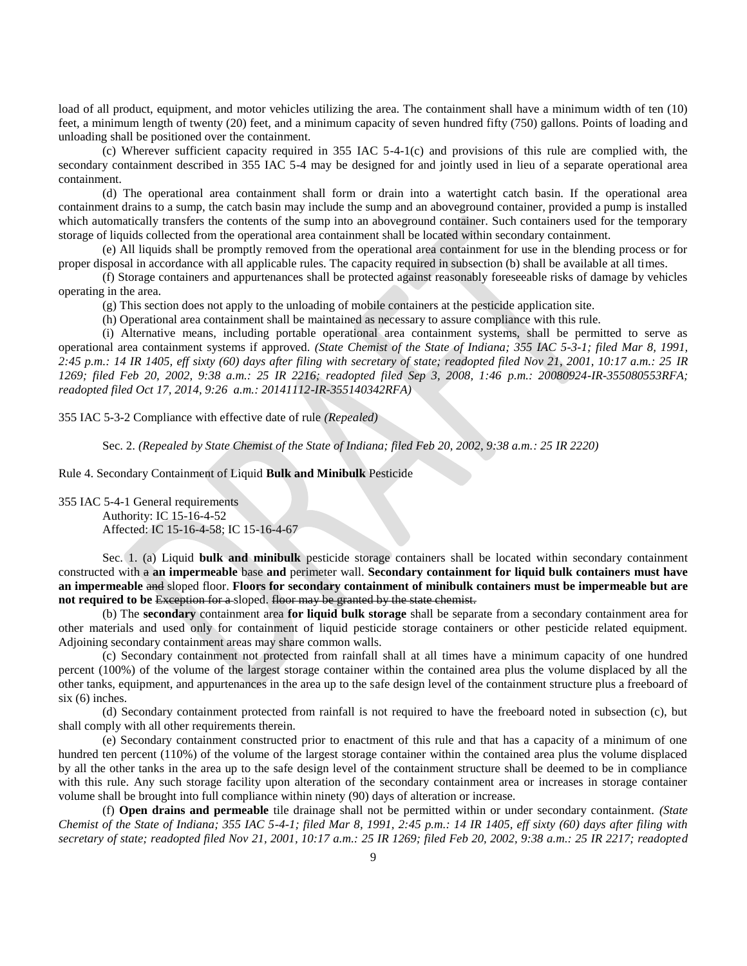load of all product, equipment, and motor vehicles utilizing the area. The containment shall have a minimum width of ten (10) feet, a minimum length of twenty (20) feet, and a minimum capacity of seven hundred fifty (750) gallons. Points of loading and unloading shall be positioned over the containment.

(c) Wherever sufficient capacity required in 355 IAC 5-4-1(c) and provisions of this rule are complied with, the secondary containment described in 355 IAC 5-4 may be designed for and jointly used in lieu of a separate operational area containment.

(d) The operational area containment shall form or drain into a watertight catch basin. If the operational area containment drains to a sump, the catch basin may include the sump and an aboveground container, provided a pump is installed which automatically transfers the contents of the sump into an aboveground container. Such containers used for the temporary storage of liquids collected from the operational area containment shall be located within secondary containment.

(e) All liquids shall be promptly removed from the operational area containment for use in the blending process or for proper disposal in accordance with all applicable rules. The capacity required in subsection (b) shall be available at all times.

(f) Storage containers and appurtenances shall be protected against reasonably foreseeable risks of damage by vehicles operating in the area.

(g) This section does not apply to the unloading of mobile containers at the pesticide application site.

(h) Operational area containment shall be maintained as necessary to assure compliance with this rule.

(i) Alternative means, including portable operational area containment systems, shall be permitted to serve as operational area containment systems if approved. *(State Chemist of the State of Indiana; 355 IAC 5-3-1; filed Mar 8, 1991, 2:45 p.m.: 14 IR 1405, eff sixty (60) days after filing with secretary of state; readopted filed Nov 21, 2001, 10:17 a.m.: 25 IR 1269; filed Feb 20, 2002, 9:38 a.m.: 25 IR 2216; readopted filed Sep 3, 2008, 1:46 p.m.: 20080924-IR-355080553RFA; readopted filed Oct 17, 2014, 9:26 a.m.: 20141112-IR-355140342RFA)*

355 IAC 5-3-2 Compliance with effective date of rule *(Repealed)*

Sec. 2. *(Repealed by State Chemist of the State of Indiana; filed Feb 20, 2002, 9:38 a.m.: 25 IR 2220)*

Rule 4. Secondary Containment of Liquid **Bulk and Minibulk** Pesticide

355 IAC 5-4-1 General requirements Authority: IC 15-16-4-52 Affected: IC 15-16-4-58; IC 15-16-4-67

Sec. 1. (a) Liquid **bulk and minibulk** pesticide storage containers shall be located within secondary containment constructed with a **an impermeable** base **and** perimeter wall. **Secondary containment for liquid bulk containers must have an impermeable** and sloped floor. **Floors for secondary containment of minibulk containers must be impermeable but are not required to be Exception for a** sloped. floor may be granted by the state chemist.

(b) The **secondary** containment area **for liquid bulk storage** shall be separate from a secondary containment area for other materials and used only for containment of liquid pesticide storage containers or other pesticide related equipment. Adjoining secondary containment areas may share common walls.

(c) Secondary containment not protected from rainfall shall at all times have a minimum capacity of one hundred percent (100%) of the volume of the largest storage container within the contained area plus the volume displaced by all the other tanks, equipment, and appurtenances in the area up to the safe design level of the containment structure plus a freeboard of six (6) inches.

(d) Secondary containment protected from rainfall is not required to have the freeboard noted in subsection (c), but shall comply with all other requirements therein.

(e) Secondary containment constructed prior to enactment of this rule and that has a capacity of a minimum of one hundred ten percent (110%) of the volume of the largest storage container within the contained area plus the volume displaced by all the other tanks in the area up to the safe design level of the containment structure shall be deemed to be in compliance with this rule. Any such storage facility upon alteration of the secondary containment area or increases in storage container volume shall be brought into full compliance within ninety (90) days of alteration or increase.

(f) **Open drains and permeable** tile drainage shall not be permitted within or under secondary containment. *(State Chemist of the State of Indiana; 355 IAC 5-4-1; filed Mar 8, 1991, 2:45 p.m.: 14 IR 1405, eff sixty (60) days after filing with secretary of state; readopted filed Nov 21, 2001, 10:17 a.m.: 25 IR 1269; filed Feb 20, 2002, 9:38 a.m.: 25 IR 2217; readopted*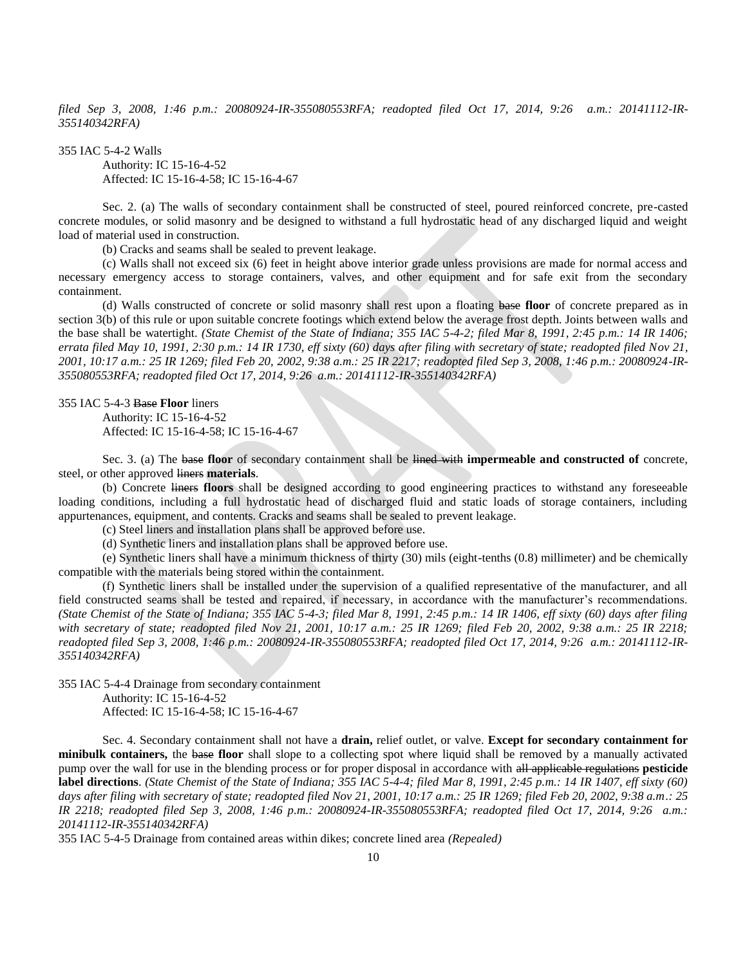*filed Sep 3, 2008, 1:46 p.m.: 20080924-IR-355080553RFA; readopted filed Oct 17, 2014, 9:26 a.m.: 20141112-IR-355140342RFA)*

355 IAC 5-4-2 Walls Authority: IC 15-16-4-52 Affected: IC 15-16-4-58; IC 15-16-4-67

Sec. 2. (a) The walls of secondary containment shall be constructed of steel, poured reinforced concrete, pre-casted concrete modules, or solid masonry and be designed to withstand a full hydrostatic head of any discharged liquid and weight load of material used in construction.

(b) Cracks and seams shall be sealed to prevent leakage.

(c) Walls shall not exceed six (6) feet in height above interior grade unless provisions are made for normal access and necessary emergency access to storage containers, valves, and other equipment and for safe exit from the secondary containment.

(d) Walls constructed of concrete or solid masonry shall rest upon a floating base **floor** of concrete prepared as in section 3(b) of this rule or upon suitable concrete footings which extend below the average frost depth. Joints between walls and the base shall be watertight. *(State Chemist of the State of Indiana; 355 IAC 5-4-2; filed Mar 8, 1991, 2:45 p.m.: 14 IR 1406; errata filed May 10, 1991, 2:30 p.m.: 14 IR 1730, eff sixty (60) days after filing with secretary of state; readopted filed Nov 21, 2001, 10:17 a.m.: 25 IR 1269; filed Feb 20, 2002, 9:38 a.m.: 25 IR 2217; readopted filed Sep 3, 2008, 1:46 p.m.: 20080924-IR-355080553RFA; readopted filed Oct 17, 2014, 9:26 a.m.: 20141112-IR-355140342RFA)*

355 IAC 5-4-3 Base **Floor** liners

Authority: IC 15-16-4-52 Affected: IC 15-16-4-58; IC 15-16-4-67

Sec. 3. (a) The base floor of secondary containment shall be lined with **impermeable and constructed of** concrete, steel, or other approved liners **materials**.

(b) Concrete liners **floors** shall be designed according to good engineering practices to withstand any foreseeable loading conditions, including a full hydrostatic head of discharged fluid and static loads of storage containers, including appurtenances, equipment, and contents. Cracks and seams shall be sealed to prevent leakage.

(c) Steel liners and installation plans shall be approved before use.

(d) Synthetic liners and installation plans shall be approved before use.

(e) Synthetic liners shall have a minimum thickness of thirty (30) mils (eight-tenths (0.8) millimeter) and be chemically compatible with the materials being stored within the containment.

(f) Synthetic liners shall be installed under the supervision of a qualified representative of the manufacturer, and all field constructed seams shall be tested and repaired, if necessary, in accordance with the manufacturer's recommendations. *(State Chemist of the State of Indiana; 355 IAC 5-4-3; filed Mar 8, 1991, 2:45 p.m.: 14 IR 1406, eff sixty (60) days after filing with secretary of state; readopted filed Nov 21, 2001, 10:17 a.m.: 25 IR 1269; filed Feb 20, 2002, 9:38 a.m.: 25 IR 2218; readopted filed Sep 3, 2008, 1:46 p.m.: 20080924-IR-355080553RFA; readopted filed Oct 17, 2014, 9:26 a.m.: 20141112-IR-355140342RFA)*

355 IAC 5-4-4 Drainage from secondary containment Authority: IC 15-16-4-52 Affected: IC 15-16-4-58; IC 15-16-4-67

Sec. 4. Secondary containment shall not have a **drain,** relief outlet, or valve. **Except for secondary containment for minibulk containers,** the base **floor** shall slope to a collecting spot where liquid shall be removed by a manually activated pump over the wall for use in the blending process or for proper disposal in accordance with all applicable regulations **pesticide label directions**. *(State Chemist of the State of Indiana; 355 IAC 5-4-4; filed Mar 8, 1991, 2:45 p.m.: 14 IR 1407, eff sixty (60) days after filing with secretary of state; readopted filed Nov 21, 2001, 10:17 a.m.: 25 IR 1269; filed Feb 20, 2002, 9:38 a.m.: 25 IR 2218; readopted filed Sep 3, 2008, 1:46 p.m.: 20080924-IR-355080553RFA; readopted filed Oct 17, 2014, 9:26 a.m.: 20141112-IR-355140342RFA)*

355 IAC 5-4-5 Drainage from contained areas within dikes; concrete lined area *(Repealed)*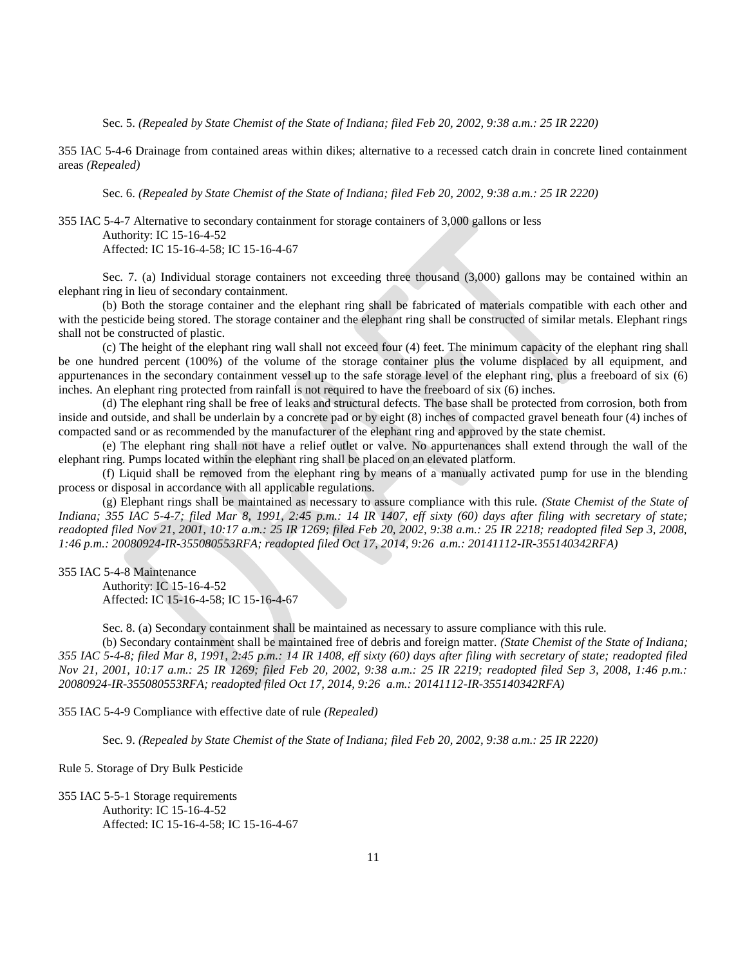Sec. 5. *(Repealed by State Chemist of the State of Indiana; filed Feb 20, 2002, 9:38 a.m.: 25 IR 2220)*

355 IAC 5-4-6 Drainage from contained areas within dikes; alternative to a recessed catch drain in concrete lined containment areas *(Repealed)*

Sec. 6. *(Repealed by State Chemist of the State of Indiana; filed Feb 20, 2002, 9:38 a.m.: 25 IR 2220)*

355 IAC 5-4-7 Alternative to secondary containment for storage containers of 3,000 gallons or less Authority: IC 15-16-4-52 Affected: IC 15-16-4-58; IC 15-16-4-67

Sec. 7. (a) Individual storage containers not exceeding three thousand (3,000) gallons may be contained within an elephant ring in lieu of secondary containment.

(b) Both the storage container and the elephant ring shall be fabricated of materials compatible with each other and with the pesticide being stored. The storage container and the elephant ring shall be constructed of similar metals. Elephant rings shall not be constructed of plastic.

(c) The height of the elephant ring wall shall not exceed four (4) feet. The minimum capacity of the elephant ring shall be one hundred percent (100%) of the volume of the storage container plus the volume displaced by all equipment, and appurtenances in the secondary containment vessel up to the safe storage level of the elephant ring, plus a freeboard of six (6) inches. An elephant ring protected from rainfall is not required to have the freeboard of six (6) inches.

(d) The elephant ring shall be free of leaks and structural defects. The base shall be protected from corrosion, both from inside and outside, and shall be underlain by a concrete pad or by eight (8) inches of compacted gravel beneath four (4) inches of compacted sand or as recommended by the manufacturer of the elephant ring and approved by the state chemist.

(e) The elephant ring shall not have a relief outlet or valve. No appurtenances shall extend through the wall of the elephant ring. Pumps located within the elephant ring shall be placed on an elevated platform.

(f) Liquid shall be removed from the elephant ring by means of a manually activated pump for use in the blending process or disposal in accordance with all applicable regulations.

(g) Elephant rings shall be maintained as necessary to assure compliance with this rule. *(State Chemist of the State of Indiana; 355 IAC 5-4-7; filed Mar 8, 1991, 2:45 p.m.: 14 IR 1407, eff sixty (60) days after filing with secretary of state; readopted filed Nov 21, 2001, 10:17 a.m.: 25 IR 1269; filed Feb 20, 2002, 9:38 a.m.: 25 IR 2218; readopted filed Sep 3, 2008, 1:46 p.m.: 20080924-IR-355080553RFA; readopted filed Oct 17, 2014, 9:26 a.m.: 20141112-IR-355140342RFA)*

355 IAC 5-4-8 Maintenance

Authority: IC 15-16-4-52 Affected: IC 15-16-4-58; IC 15-16-4-67

Sec. 8. (a) Secondary containment shall be maintained as necessary to assure compliance with this rule.

(b) Secondary containment shall be maintained free of debris and foreign matter. *(State Chemist of the State of Indiana; 355 IAC 5-4-8; filed Mar 8, 1991, 2:45 p.m.: 14 IR 1408, eff sixty (60) days after filing with secretary of state; readopted filed Nov 21, 2001, 10:17 a.m.: 25 IR 1269; filed Feb 20, 2002, 9:38 a.m.: 25 IR 2219; readopted filed Sep 3, 2008, 1:46 p.m.: 20080924-IR-355080553RFA; readopted filed Oct 17, 2014, 9:26 a.m.: 20141112-IR-355140342RFA)*

355 IAC 5-4-9 Compliance with effective date of rule *(Repealed)*

Sec. 9. *(Repealed by State Chemist of the State of Indiana; filed Feb 20, 2002, 9:38 a.m.: 25 IR 2220)*

Rule 5. Storage of Dry Bulk Pesticide

355 IAC 5-5-1 Storage requirements Authority: IC 15-16-4-52 Affected: IC 15-16-4-58; IC 15-16-4-67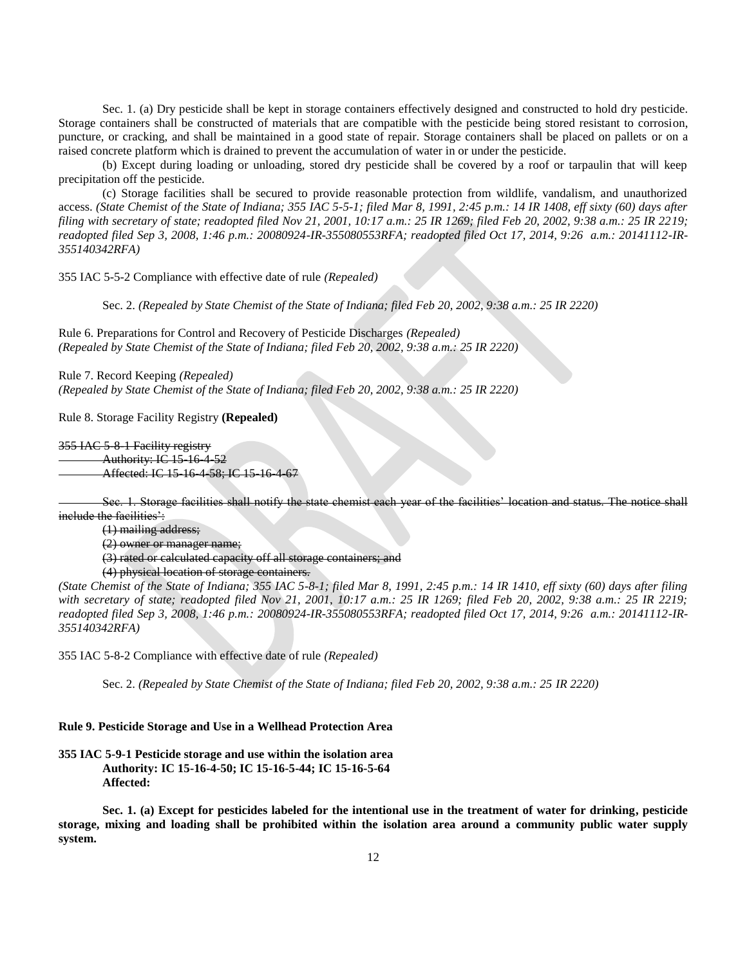Sec. 1. (a) Dry pesticide shall be kept in storage containers effectively designed and constructed to hold dry pesticide. Storage containers shall be constructed of materials that are compatible with the pesticide being stored resistant to corrosion, puncture, or cracking, and shall be maintained in a good state of repair. Storage containers shall be placed on pallets or on a raised concrete platform which is drained to prevent the accumulation of water in or under the pesticide.

(b) Except during loading or unloading, stored dry pesticide shall be covered by a roof or tarpaulin that will keep precipitation off the pesticide.

(c) Storage facilities shall be secured to provide reasonable protection from wildlife, vandalism, and unauthorized access. *(State Chemist of the State of Indiana; 355 IAC 5-5-1; filed Mar 8, 1991, 2:45 p.m.: 14 IR 1408, eff sixty (60) days after filing with secretary of state; readopted filed Nov 21, 2001, 10:17 a.m.: 25 IR 1269; filed Feb 20, 2002, 9:38 a.m.: 25 IR 2219; readopted filed Sep 3, 2008, 1:46 p.m.: 20080924-IR-355080553RFA; readopted filed Oct 17, 2014, 9:26 a.m.: 20141112-IR-355140342RFA)*

355 IAC 5-5-2 Compliance with effective date of rule *(Repealed)*

Sec. 2. *(Repealed by State Chemist of the State of Indiana; filed Feb 20, 2002, 9:38 a.m.: 25 IR 2220)*

Rule 6. Preparations for Control and Recovery of Pesticide Discharges *(Repealed) (Repealed by State Chemist of the State of Indiana; filed Feb 20, 2002, 9:38 a.m.: 25 IR 2220)*

*(Repealed by State Chemist of the State of Indiana; filed Feb 20, 2002, 9:38 a.m.: 25 IR 2220)*

Rule 8. Storage Facility Registry **(Repealed)**

355 IAC 5-8-1 Facility registry Authority: IC 15-16-4-52 Affected: IC 15-16-4-58; IC 15-16-4-67

Sec. 1. Storage facilities shall notify the state chemist each year of the facilities' location and status. The notice shall include the facilities':

(1) mailing address; (2) owner or manager name; (3) rated or calculated capacity off all storage containers; and (4) physical location of storage containers.

*(State Chemist of the State of Indiana; 355 IAC 5-8-1; filed Mar 8, 1991, 2:45 p.m.: 14 IR 1410, eff sixty (60) days after filing with secretary of state; readopted filed Nov 21, 2001, 10:17 a.m.: 25 IR 1269; filed Feb 20, 2002, 9:38 a.m.: 25 IR 2219; readopted filed Sep 3, 2008, 1:46 p.m.: 20080924-IR-355080553RFA; readopted filed Oct 17, 2014, 9:26 a.m.: 20141112-IR-355140342RFA)*

355 IAC 5-8-2 Compliance with effective date of rule *(Repealed)*

Sec. 2. *(Repealed by State Chemist of the State of Indiana; filed Feb 20, 2002, 9:38 a.m.: 25 IR 2220)*

#### **Rule 9. Pesticide Storage and Use in a Wellhead Protection Area**

### **355 IAC 5-9-1 Pesticide storage and use within the isolation area Authority: IC 15-16-4-50; IC 15-16-5-44; IC 15-16-5-64 Affected:**

**Sec. 1. (a) Except for pesticides labeled for the intentional use in the treatment of water for drinking, pesticide storage, mixing and loading shall be prohibited within the isolation area around a community public water supply system.**

Rule 7. Record Keeping *(Repealed)*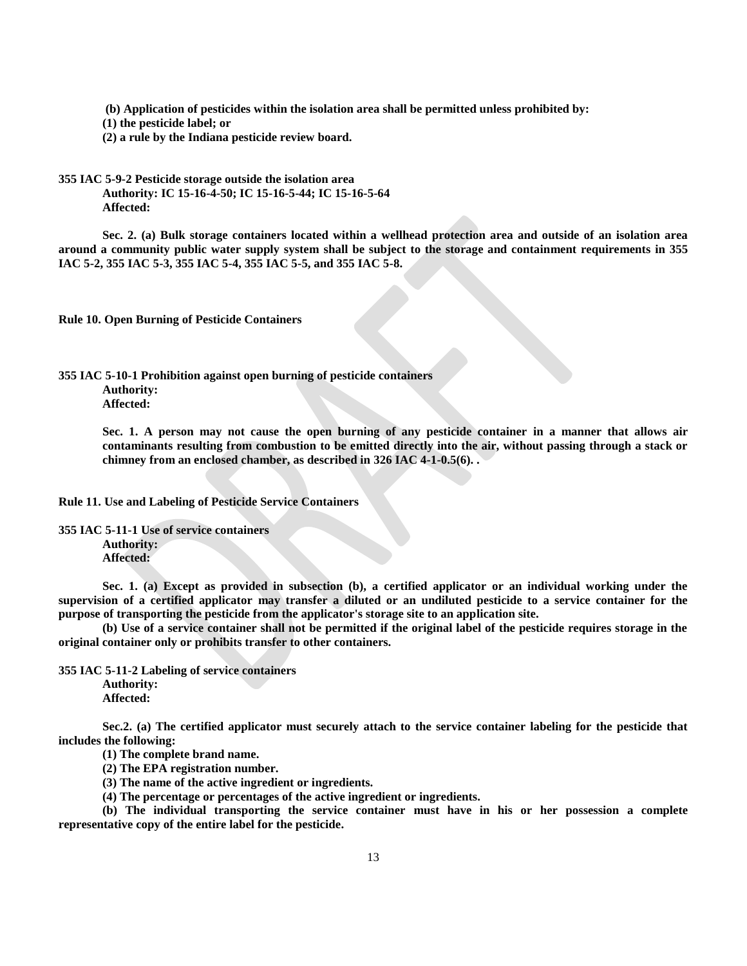**(b) Application of pesticides within the isolation area shall be permitted unless prohibited by:**

**(1) the pesticide label; or**

**(2) a rule by the Indiana pesticide review board.**

**355 IAC 5-9-2 Pesticide storage outside the isolation area**

**Authority: IC 15-16-4-50; IC 15-16-5-44; IC 15-16-5-64 Affected:**

**Sec. 2. (a) Bulk storage containers located within a wellhead protection area and outside of an isolation area around a community public water supply system shall be subject to the storage and containment requirements in 355 IAC 5-2, 355 IAC 5-3, 355 IAC 5-4, 355 IAC 5-5, and 355 IAC 5-8.**

**Rule 10. Open Burning of Pesticide Containers**

**355 IAC 5-10-1 Prohibition against open burning of pesticide containers Authority:**

**Affected:**

**Sec. 1. A person may not cause the open burning of any pesticide container in a manner that allows air contaminants resulting from combustion to be emitted directly into the air, without passing through a stack or chimney from an enclosed chamber, as described in 326 IAC 4-1-0.5(6). .**

**Rule 11. Use and Labeling of Pesticide Service Containers**

**355 IAC 5-11-1 Use of service containers Authority: Affected:**

**Sec. 1. (a) Except as provided in subsection (b), a certified applicator or an individual working under the supervision of a certified applicator may transfer a diluted or an undiluted pesticide to a service container for the purpose of transporting the pesticide from the applicator's storage site to an application site.**

**(b) Use of a service container shall not be permitted if the original label of the pesticide requires storage in the original container only or prohibits transfer to other containers.**

**355 IAC 5-11-2 Labeling of service containers**

**Authority:**

**Affected:**

**Sec.2. (a) The certified applicator must securely attach to the service container labeling for the pesticide that includes the following:**

**(1) The complete brand name.**

**(2) The EPA registration number.**

**(3) The name of the active ingredient or ingredients.**

**(4) The percentage or percentages of the active ingredient or ingredients.**

**(b) The individual transporting the service container must have in his or her possession a complete representative copy of the entire label for the pesticide.**